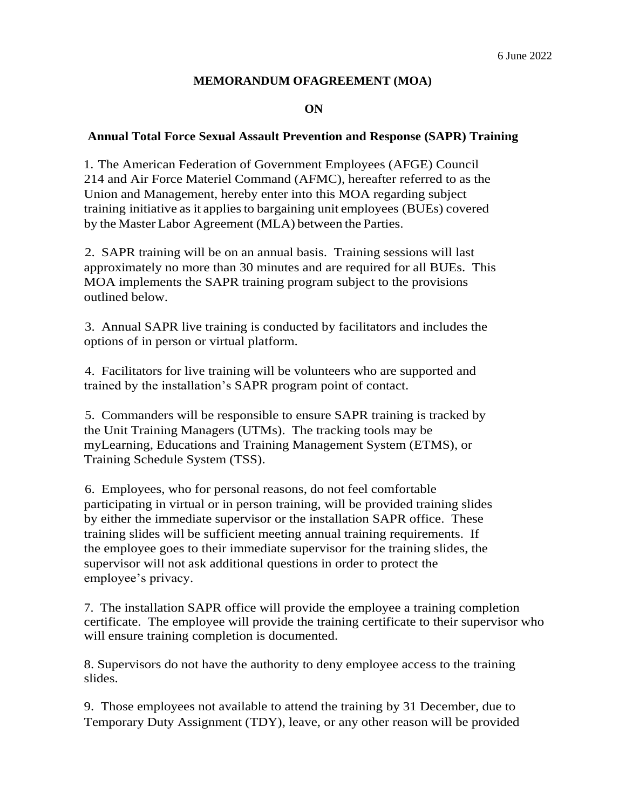## **MEMORANDUM OFAGREEMENT (MOA)**

**ON**

## **Annual Total Force Sexual Assault Prevention and Response (SAPR) Training**

1. The American Federation of Government Employees (AFGE) Council 214 and Air Force Materiel Command (AFMC), hereafter referred to as the Union and Management, hereby enter into this MOA regarding subject training initiative as it appliesto bargaining unit employees (BUEs) covered by the MasterLabor Agreement (MLA) between the Parties.

2. SAPR training will be on an annual basis. Training sessions will last approximately no more than 30 minutes and are required for all BUEs. This MOA implements the SAPR training program subject to the provisions outlined below.

3. Annual SAPR live training is conducted by facilitators and includes the options of in person or virtual platform.

4. Facilitators for live training will be volunteers who are supported and trained by the installation's SAPR program point of contact.

5. Commanders will be responsible to ensure SAPR training is tracked by the Unit Training Managers (UTMs). The tracking tools may be myLearning, Educations and Training Management System (ETMS), or Training Schedule System (TSS).

6. Employees, who for personal reasons, do not feel comfortable participating in virtual or in person training, will be provided training slides by either the immediate supervisor or the installation SAPR office. These training slides will be sufficient meeting annual training requirements. If the employee goes to their immediate supervisor for the training slides, the supervisor will not ask additional questions in order to protect the employee's privacy.

7. The installation SAPR office will provide the employee a training completion certificate. The employee will provide the training certificate to their supervisor who will ensure training completion is documented.

8. Supervisors do not have the authority to deny employee access to the training slides.

9. Those employees not available to attend the training by 31 December, due to Temporary Duty Assignment (TDY), leave, or any other reason will be provided